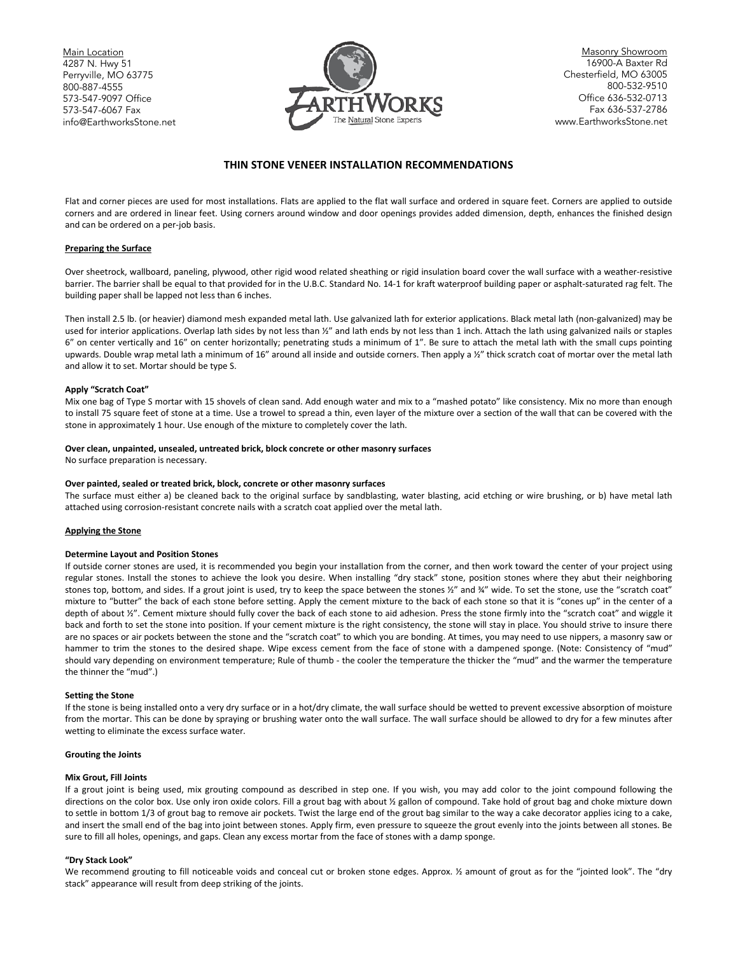Main Location 4287 N. Hwy 51 Perryville, MO 63775 800-887-4555 573-547-9097 Office 573-547-6067 Fax [info@Earthw](mailto:info@Earth)orksStone.net



Masonry Showroom 16900-A Baxter Rd Chesterfield, MO 63005 800-532-9510 Office 636-532-0713 Fax 636-537-2786 www.EarthworksStone.net

# **THIN STONE VENEER INSTALLATION RECOMMENDATIONS**

Flat and corner pieces are used for most installations. Flats are applied to the flat wall surface and ordered in square feet. Corners are applied to outside corners and are ordered in linear feet. Using corners around window and door openings provides added dimension, depth, enhances the finished design and can be ordered on a per-job basis.

# **Preparing the Surface**

Over sheetrock, wallboard, paneling, plywood, other rigid wood related sheathing or rigid insulation board cover the wall surface with a weather-resistive barrier. The barrier shall be equal to that provided for in the U.B.C. Standard No. 14-1 for kraft waterproof building paper or asphalt-saturated rag felt. The building paper shall be lapped not less than 6 inches.

Then install 2.5 lb. (or heavier) diamond mesh expanded metal lath. Use galvanized lath for exterior applications. Black metal lath (non-galvanized) may be used for interior applications. Overlap lath sides by not less than 1/2" and lath ends by not less than 1 inch. Attach the lath using galvanized nails or staples 6" on center vertically and 16" on center horizontally; penetrating studs a minimum of 1". Be sure to attach the metal lath with the small cups pointing upwards. Double wrap metal lath a minimum of 16" around all inside and outside corners. Then apply a ½" thick scratch coat of mortar over the metal lath and allow it to set. Mortar should be type S.

#### **Apply "Scratch Coat"**

Mix one bag of Type S mortar with 15 shovels of clean sand. Add enough water and mix to a "mashed potato" like consistency. Mix no more than enough to install 75 square feet of stone at a time. Use a trowel to spread a thin, even layer of the mixture over a section of the wall that can be covered with the stone in approximately 1 hour. Use enough of the mixture to completely cover the lath.

#### **Over clean, unpainted, unsealed, untreated brick, block concrete or other masonry surfaces**

No surface preparation is necessary.

# **Over painted, sealed or treated brick, block, concrete or other masonry surfaces**

The surface must either a) be cleaned back to the original surface by sandblasting, water blasting, acid etching or wire brushing, or b) have metal lath attached using corrosion-resistant concrete nails with a scratch coat applied over the metal lath.

# **Applying the Stone**

# **Determine Layout and Position Stones**

If outside corner stones are used, it is recommended you begin your installation from the corner, and then work toward the center of your project using regular stones. Install the stones to achieve the look you desire. When installing "dry stack" stone, position stones where they abut their neighboring stones top, bottom, and sides. If a grout joint is used, try to keep the space between the stones ½" and ¾" wide. To set the stone, use the "scratch coat" mixture to "butter" the back of each stone before setting. Apply the cement mixture to the back of each stone so that it is "cones up" in the center of a depth of about  $Y''$ . Cement mixture should fully cover the back of each stone to aid adhesion. Press the stone firmly into the "scratch coat" and wiggle it back and forth to set the stone into position. If your cement mixture is the right consistency, the stone will stay in place. You should strive to insure there are no spaces or air pockets between the stone and the "scratch coat" to which you are bonding. At times, you may need to use nippers, a masonry saw or hammer to trim the stones to the desired shape. Wipe excess cement from the face of stone with a dampened sponge. (Note: Consistency of "mud" should vary depending on environment temperature; Rule of thumb - the cooler the temperature the thicker the "mud" and the warmer the temperature the thinner the "mud".)

#### **Setting the Stone**

If the stone is being installed onto a very dry surface or in a hot/dry climate, the wall surface should be wetted to prevent excessive absorption of moisture from the mortar. This can be done by spraying or brushing water onto the wall surface. The wall surface should be allowed to dry for a few minutes after wetting to eliminate the excess surface water.

#### **Grouting the Joints**

# **Mix Grout, Fill Joints**

If a grout joint is being used, mix grouting compound as described in step one. If you wish, you may add color to the joint compound following the directions on the color box. Use only iron oxide colors. Fill a grout bag with about ½ gallon of compound. Take hold of grout bag and choke mixture down to settle in bottom 1/3 of grout bag to remove air pockets. Twist the large end of the grout bag similar to the way a cake decorator applies icing to a cake, and insert the small end of the bag into joint between stones. Apply firm, even pressure to squeeze the grout evenly into the joints between all stones. Be sure to fill all holes, openings, and gaps. Clean any excess mortar from the face of stones with a damp sponge.

#### **"Dry Stack Look"**

We recommend grouting to fill noticeable voids and conceal cut or broken stone edges. Approx.  $\frac{y}{x}$  amount of grout as for the "jointed look". The "dry stack" appearance will result from deep striking of the joints.